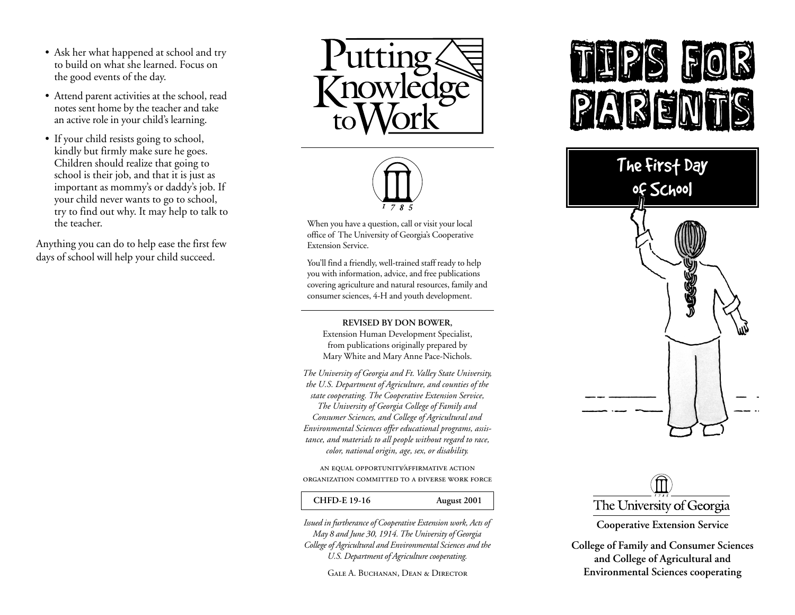- Ask her what happened at school and try to build on what she learned. Focus on the good events of the day.
- Attend parent activities at the school, read notes sent home by the teacher and take an active role in your child's learning.
- If your child resists going to school, kindly but firmly make sure he goes. Children should realize that going to school is their job, and that it is just as important as mommy's or daddy's job. If your child never wants to go to school, try to find out why. It may help to talk to the teacher.

Anything you can do to help ease the first few days of school will help your child succeed.





When you have a question, call or visit your local office of The University of Georgia's Cooperative Extension Service.

You'll find a friendly, well-trained staff ready to help you with information, advice, and free publications covering agriculture and natural resources, family and consumer sciences, 4-H and youth development.

#### **REVISED BY DON BOWER,**

Extension Human Development Specialist, from publications originally prepared by Mary White and Mary Anne Pace-Nichols.

*The University of Georgia and Ft. Valley State University, the U.S. Department of Agriculture, and counties of the state cooperating. The Cooperative Extension Service, The University of Georgia College of Family and Consumer Sciences, and College of Agricultural and Environmental Sciences offer educational programs, assistance, and materials to all people without regard to race, color, national origin, age, sex, or disability.*

AN EQUAL OPPORTUNITY AFFIRMATIVE ACTION ORGANIZATION COMMITTED TO A ĐIVERSE WORK FORCE

#### **CHFD-E 19-16 August 2001**

*Issued in furtherance of Cooperative Extension work, Acts of May 8 and June 30, 1914. The University of Georgia College of Agricultural and Environmental Sciences and the U.S. Department of Agriculture cooperating.*

Gale A. Buchanan, Dean & Director

# E





**Cooperative Extension Service**

**College of Family and Consumer Sciences and College of Agricultural and Environmental Sciences cooperating**